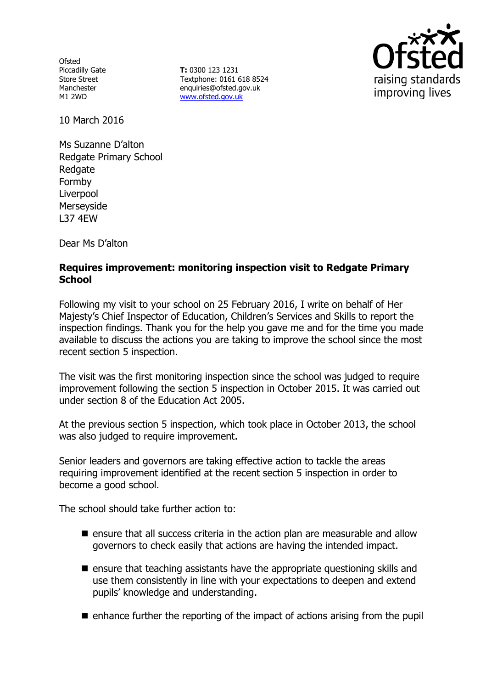**Ofsted** Piccadilly Gate Store Street Manchester M1 2WD

**T:** 0300 123 1231 Textphone: 0161 618 8524 enquiries@ofsted.gov.uk www.ofsted.gov.uk



10 March 2016

Ms Suzanne D'alton Redgate Primary School Redgate Formby Liverpool Merseyside L37 4EW

Dear Ms D'alton

# **Requires improvement: monitoring inspection visit to Redgate Primary School**

Following my visit to your school on 25 February 2016, I write on behalf of Her Majesty's Chief Inspector of Education, Children's Services and Skills to report the inspection findings. Thank you for the help you gave me and for the time you made available to discuss the actions you are taking to improve the school since the most recent section 5 inspection.

The visit was the first monitoring inspection since the school was judged to require improvement following the section 5 inspection in October 2015. It was carried out under section 8 of the Education Act 2005.

At the previous section 5 inspection, which took place in October 2013, the school was also judged to require improvement.

Senior leaders and governors are taking effective action to tackle the areas requiring improvement identified at the recent section 5 inspection in order to become a good school.

The school should take further action to:

- $\blacksquare$  ensure that all success criteria in the action plan are measurable and allow governors to check easily that actions are having the intended impact.
- $\blacksquare$  ensure that teaching assistants have the appropriate questioning skills and use them consistently in line with your expectations to deepen and extend pupils' knowledge and understanding.
- $\blacksquare$  enhance further the reporting of the impact of actions arising from the pupil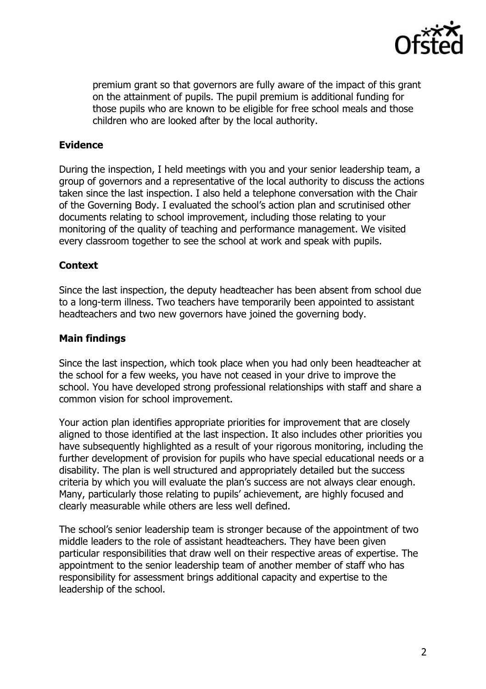

premium grant so that governors are fully aware of the impact of this grant on the attainment of pupils. The pupil premium is additional funding for those pupils who are known to be eligible for free school meals and those children who are looked after by the local authority.

## **Evidence**

During the inspection, I held meetings with you and your senior leadership team, a group of governors and a representative of the local authority to discuss the actions taken since the last inspection. I also held a telephone conversation with the Chair of the Governing Body. I evaluated the school's action plan and scrutinised other documents relating to school improvement, including those relating to your monitoring of the quality of teaching and performance management. We visited every classroom together to see the school at work and speak with pupils.

### **Context**

Since the last inspection, the deputy headteacher has been absent from school due to a long-term illness. Two teachers have temporarily been appointed to assistant headteachers and two new governors have joined the governing body.

### **Main findings**

Since the last inspection, which took place when you had only been headteacher at the school for a few weeks, you have not ceased in your drive to improve the school. You have developed strong professional relationships with staff and share a common vision for school improvement.

Your action plan identifies appropriate priorities for improvement that are closely aligned to those identified at the last inspection. It also includes other priorities you have subsequently highlighted as a result of your rigorous monitoring, including the further development of provision for pupils who have special educational needs or a disability. The plan is well structured and appropriately detailed but the success criteria by which you will evaluate the plan's success are not always clear enough. Many, particularly those relating to pupils' achievement, are highly focused and clearly measurable while others are less well defined.

The school's senior leadership team is stronger because of the appointment of two middle leaders to the role of assistant headteachers. They have been given particular responsibilities that draw well on their respective areas of expertise. The appointment to the senior leadership team of another member of staff who has responsibility for assessment brings additional capacity and expertise to the leadership of the school.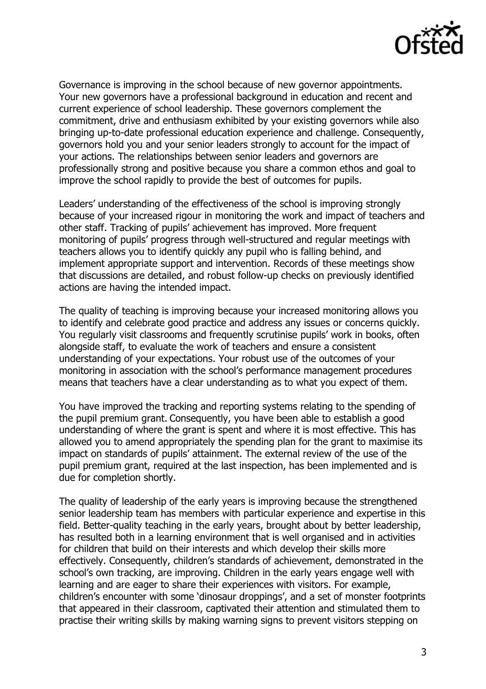

Governance is improving in the school because of new governor appointments. Your new governors have a professional background in education and recent and current experience of school leadership. These governors complement the commitment, drive and enthusiasm exhibited by your existing governors while also bringing up-to-date professional education experience and challenge. Consequently, governors hold you and your senior leaders strongly to account for the impact of your actions. The relationships between senior leaders and governors are professionally strong and positive because you share a common ethos and goal to improve the school rapidly to provide the best of outcomes for pupils.

Leaders' understanding of the effectiveness of the school is improving strongly because of your increased rigour in monitoring the work and impact of teachers and other staff. Tracking of pupils' achievement has improved. More frequent monitoring of pupils' progress through well-structured and regular meetings with teachers allows you to identify quickly any pupil who is falling behind, and implement appropriate support and intervention. Records of these meetings show that discussions are detailed, and robust follow-up checks on previously identified actions are having the intended impact.

The quality of teaching is improving because your increased monitoring allows you to identify and celebrate good practice and address any issues or concerns quickly. You regularly visit classrooms and frequently scrutinise pupils' work in books, often alongside staff, to evaluate the work of teachers and ensure a consistent understanding of your expectations. Your robust use of the outcomes of your monitoring in association with the school's performance management procedures means that teachers have a clear understanding as to what you expect of them.

You have improved the tracking and reporting systems relating to the spending of the pupil premium grant. Consequently, you have been able to establish a good understanding of where the grant is spent and where it is most effective. This has allowed you to amend appropriately the spending plan for the grant to maximise its impact on standards of pupils' attainment. The external review of the use of the pupil premium grant, required at the last inspection, has been implemented and is due for completion shortly.

The quality of leadership of the early years is improving because the strengthened senior leadership team has members with particular experience and expertise in this field. Better-quality teaching in the early years, brought about by better leadership, has resulted both in a learning environment that is well organised and in activities for children that build on their interests and which develop their skills more effectively. Consequently, children's standards of achievement, demonstrated in the school's own tracking, are improving. Children in the early years engage well with learning and are eager to share their experiences with visitors. For example, children's encounter with some 'dinosaur droppings', and a set of monster footprints that appeared in their classroom, captivated their attention and stimulated them to practise their writing skills by making warning signs to prevent visitors stepping on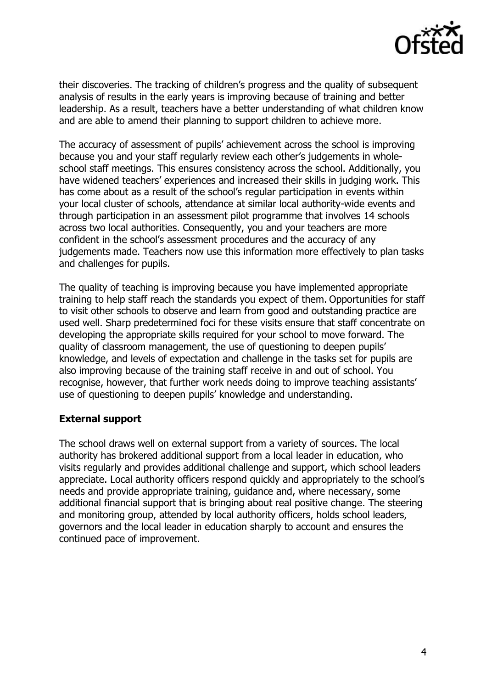

their discoveries. The tracking of children's progress and the quality of subsequent analysis of results in the early years is improving because of training and better leadership. As a result, teachers have a better understanding of what children know and are able to amend their planning to support children to achieve more.

The accuracy of assessment of pupils' achievement across the school is improving because you and your staff regularly review each other's judgements in wholeschool staff meetings. This ensures consistency across the school. Additionally, you have widened teachers' experiences and increased their skills in judging work. This has come about as a result of the school's regular participation in events within your local cluster of schools, attendance at similar local authority-wide events and through participation in an assessment pilot programme that involves 14 schools across two local authorities. Consequently, you and your teachers are more confident in the school's assessment procedures and the accuracy of any judgements made. Teachers now use this information more effectively to plan tasks and challenges for pupils.

The quality of teaching is improving because you have implemented appropriate training to help staff reach the standards you expect of them. Opportunities for staff to visit other schools to observe and learn from good and outstanding practice are used well. Sharp predetermined foci for these visits ensure that staff concentrate on developing the appropriate skills required for your school to move forward. The quality of classroom management, the use of questioning to deepen pupils' knowledge, and levels of expectation and challenge in the tasks set for pupils are also improving because of the training staff receive in and out of school. You recognise, however, that further work needs doing to improve teaching assistants' use of questioning to deepen pupils' knowledge and understanding.

#### **External support**

The school draws well on external support from a variety of sources. The local authority has brokered additional support from a local leader in education, who visits regularly and provides additional challenge and support, which school leaders appreciate. Local authority officers respond quickly and appropriately to the school's needs and provide appropriate training, guidance and, where necessary, some additional financial support that is bringing about real positive change. The steering and monitoring group, attended by local authority officers, holds school leaders, governors and the local leader in education sharply to account and ensures the continued pace of improvement.